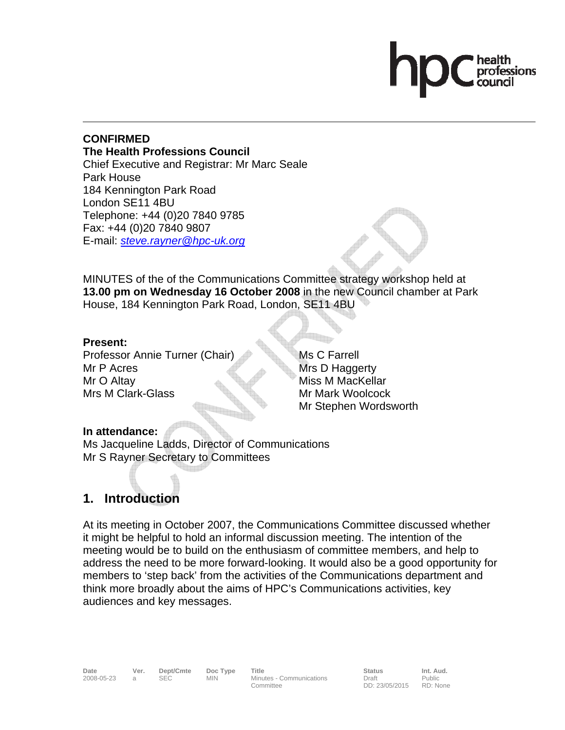#### **CONFIRMED The Health Professions Council**  Chief Executive and Registrar: Mr Marc Seale Park House 184 Kennington Park Road London SE11 4BU Telephone: +44 (0)20 7840 9785 Fax: +44 (0)20 7840 9807 E-mail: *steve.rayner@hpc-uk.org*

MINUTES of the of the Communications Committee strategy workshop held at **13.00 pm on Wednesday 16 October 2008** in the new Council chamber at Park House, 184 Kennington Park Road, London, SE11 4BU

## **Present:**

Professor Annie Turner (Chair) Mr P Acres Mr O Altay Mrs M Clark-Glass

Ms C Farrell Mrs D Haggerty Miss M MacKellar Mr Mark Woolcock Mr Stephen Wordsworth

## **In attendance:**

Ms Jacqueline Ladds, Director of Communications Mr S Rayner Secretary to Committees

# **1. Introduction**

At its meeting in October 2007, the Communications Committee discussed whether it might be helpful to hold an informal discussion meeting. The intention of the meeting would be to build on the enthusiasm of committee members, and help to address the need to be more forward-looking. It would also be a good opportunity for members to 'step back' from the activities of the Communications department and think more broadly about the aims of HPC's Communications activities, key audiences and key messages.

2008-05-23 a SEC MIN Minutes - Communications Committee

Date Ver. Dept/Cmte Doc<sup>Type</sup> Title **Status Int. Aud.** Decrember Doc Type Title Draft DD: 23/05/2015 Public RD: None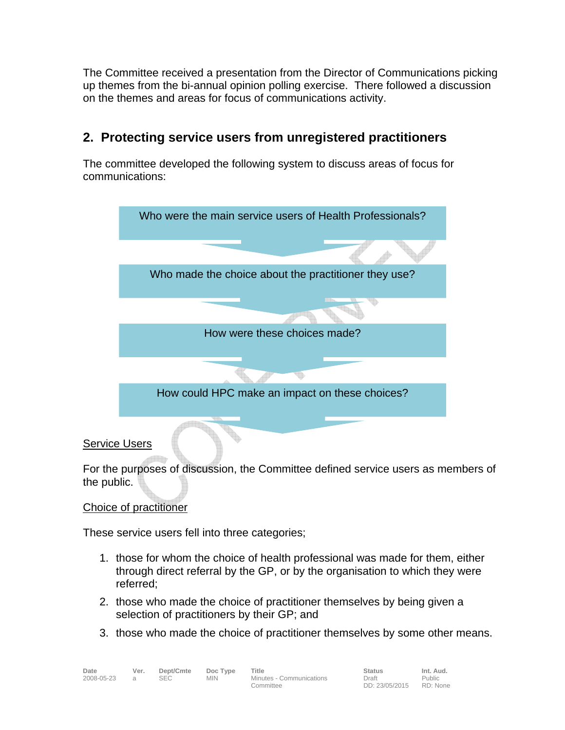The Committee received a presentation from the Director of Communications picking up themes from the bi-annual opinion polling exercise. There followed a discussion on the themes and areas for focus of communications activity.

# **2. Protecting service users from unregistered practitioners**

The committee developed the following system to discuss areas of focus for communications:



## Service Users

For the purposes of discussion, the Committee defined service users as members of the public.

## Choice of practitioner

These service users fell into three categories;

- 1. those for whom the choice of health professional was made for them, either through direct referral by the GP, or by the organisation to which they were referred;
- 2. those who made the choice of practitioner themselves by being given a selection of practitioners by their GP; and
- 3. those who made the choice of practitioner themselves by some other means.

2008-05-23 a SEC MIN Minutes - Communications Committee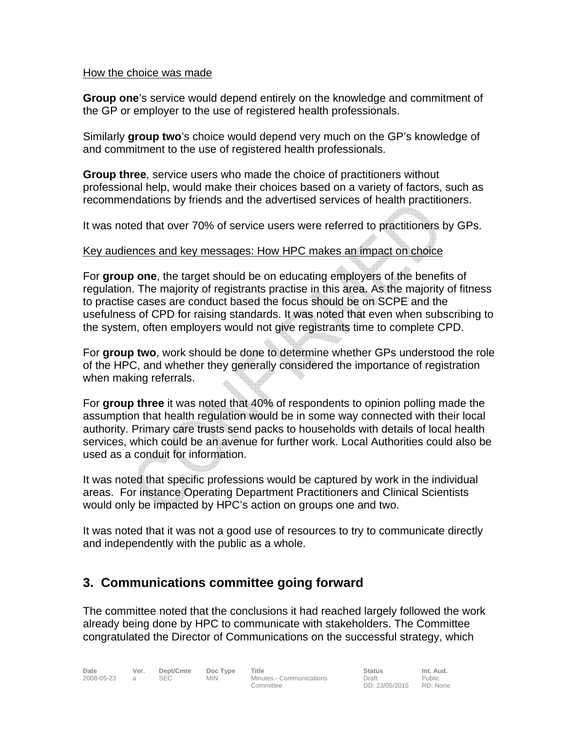#### How the choice was made

**Group one**'s service would depend entirely on the knowledge and commitment of the GP or employer to the use of registered health professionals.

Similarly **group two**'s choice would depend very much on the GP's knowledge of and commitment to the use of registered health professionals.

**Group three**, service users who made the choice of practitioners without professional help, would make their choices based on a variety of factors, such as recommendations by friends and the advertised services of health practitioners.

It was noted that over 70% of service users were referred to practitioners by GPs.

#### Key audiences and key messages: How HPC makes an impact on choice

For **group one**, the target should be on educating employers of the benefits of regulation. The majority of registrants practise in this area. As the majority of fitness to practise cases are conduct based the focus should be on SCPE and the usefulness of CPD for raising standards. It was noted that even when subscribing to the system, often employers would not give registrants time to complete CPD.

For **group two**, work should be done to determine whether GPs understood the role of the HPC, and whether they generally considered the importance of registration when making referrals.

For **group three** it was noted that 40% of respondents to opinion polling made the assumption that health regulation would be in some way connected with their local authority. Primary care trusts send packs to households with details of local health services, which could be an avenue for further work. Local Authorities could also be used as a conduit for information.

It was noted that specific professions would be captured by work in the individual areas. For instance Operating Department Practitioners and Clinical Scientists would only be impacted by HPC's action on groups one and two.

It was noted that it was not a good use of resources to try to communicate directly and independently with the public as a whole.

# **3. Communications committee going forward**

The committee noted that the conclusions it had reached largely followed the work already being done by HPC to communicate with stakeholders. The Committee congratulated the Director of Communications on the successful strategy, which

Minutes - Communications Committee

**Date Ver. Dept/Cmte Doc Type Title Communications Status Int. Aud.**<br>2008-05-23 a SEC MIN Minutes Communications Draft Public Draft DD: 23/05/2015 RD: None Public